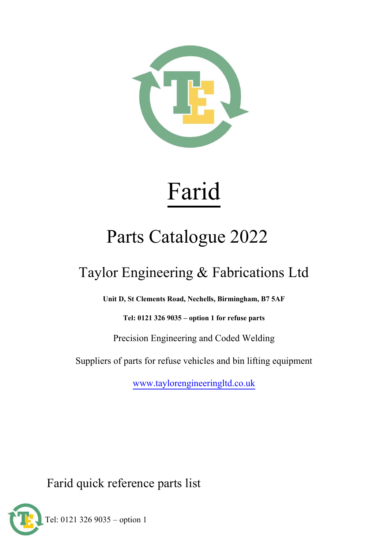

# Farid

# Parts Catalogue 2022

## Taylor Engineering & Fabrications Ltd

**Unit D, St Clements Road, Nechells, Birmingham, B7 5AF**

**Tel: 0121 326 9035 – option 1 for refuse parts**

Precision Engineering and Coded Welding

Suppliers of parts for refuse vehicles and bin lifting equipment

[www.taylorengineeringltd.co.uk](http://www.taylorengineeringltd.co.uk/)

Farid quick reference parts list

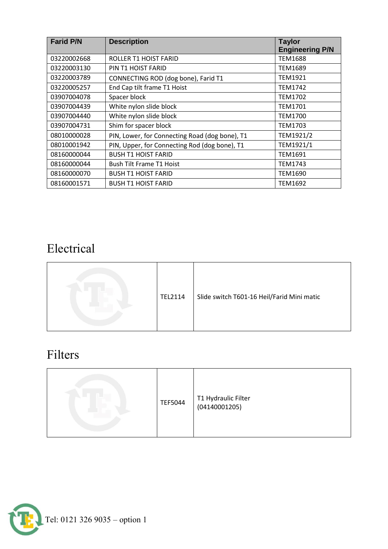| <b>Farid P/N</b> | <b>Description</b>                             | <b>Taylor</b><br><b>Engineering P/N</b> |
|------------------|------------------------------------------------|-----------------------------------------|
| 03220002668      | ROLLER T1 HOIST FARID                          | <b>TEM1688</b>                          |
| 03220003130      | PIN T1 HOIST FARID                             | TEM1689                                 |
| 03220003789      | CONNECTING ROD (dog bone), Farid T1            | <b>TEM1921</b>                          |
| 03220005257      | End Cap tilt frame T1 Hoist                    | <b>TEM1742</b>                          |
| 03907004078      | Spacer block                                   | <b>TEM1702</b>                          |
| 03907004439      | White nylon slide block                        | TEM1701                                 |
| 03907004440      | White nylon slide block                        | <b>TEM1700</b>                          |
| 03907004731      | Shim for spacer block                          | TEM1703                                 |
| 08010000028      | PIN, Lower, for Connecting Road (dog bone), T1 | TEM1921/2                               |
| 08010001942      | PIN, Upper, for Connecting Rod (dog bone), T1  | TEM1921/1                               |
| 08160000044      | <b>BUSH T1 HOIST FARID</b>                     | <b>TEM1691</b>                          |
| 08160000044      | <b>Bush Tilt Frame T1 Hoist</b>                | TEM1743                                 |
| 08160000070      | <b>BUSH T1 HOIST FARID</b>                     | TEM1690                                 |
| 08160001571      | <b>BUSH T1 HOIST FARID</b>                     | TEM1692                                 |

#### Electrical

| TEL2114 | Slide switch T601-16 Heil/Farid Mini matic |
|---------|--------------------------------------------|
|---------|--------------------------------------------|

#### Filters

|  | <b>TEF5044</b> | T1 Hydraulic Filter<br>(04140001205) |
|--|----------------|--------------------------------------|
|--|----------------|--------------------------------------|

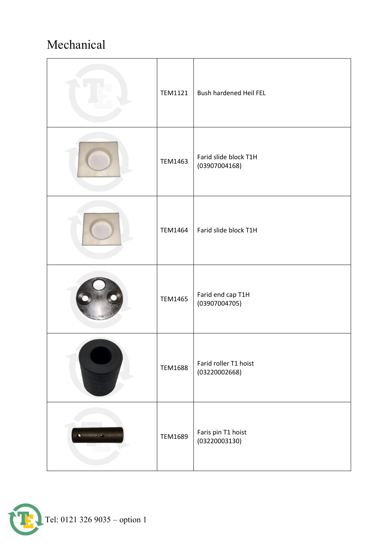#### Mechanical

| <b>TEM1121</b> | Bush hardened Heil FEL                 |
|----------------|----------------------------------------|
| <b>TEM1463</b> | Farid slide block T1H<br>(03907004168) |
| <b>TEM1464</b> | Farid slide block T1H                  |
| <b>TEM1465</b> | Farid end cap T1H<br>(03907004705)     |
| <b>TEM1688</b> | Farid roller T1 hoist<br>(03220002668) |
| TEM1689        | Faris pin T1 hoist<br>(03220003130)    |

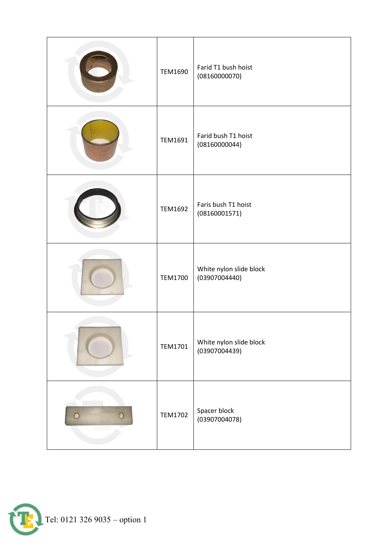| TEM1690        | Farid T1 bush hoist<br>(08160000070)     |
|----------------|------------------------------------------|
| TEM1691        | Farid bush T1 hoist<br>(08160000044)     |
| <b>TEM1692</b> | Faris bush T1 hoist<br>(08160001571)     |
| <b>TEM1700</b> | White nylon slide block<br>(03907004440) |
| <b>TEM1701</b> | White nylon slide block<br>(03907004439) |
| <b>TEM1702</b> | Spacer block<br>(03907004078)            |